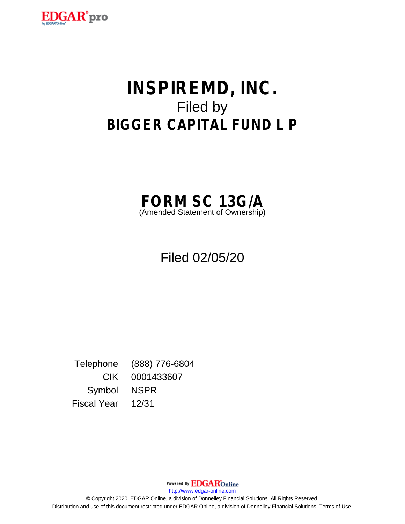

# **INSPIREMD, INC.** Filed by **BIGGER CAPITAL FUND L P**



Filed 02/05/20

Telephone (888) 776-6804 CIK 0001433607 Symbol NSPR Fiscal Year 12/31

Powered By **EDGAR**Online

http://www.edgar-online.com

© Copyright 2020, EDGAR Online, a division of Donnelley Financial Solutions. All Rights Reserved. Distribution and use of this document restricted under EDGAR Online, a division of Donnelley Financial Solutions, Terms of Use.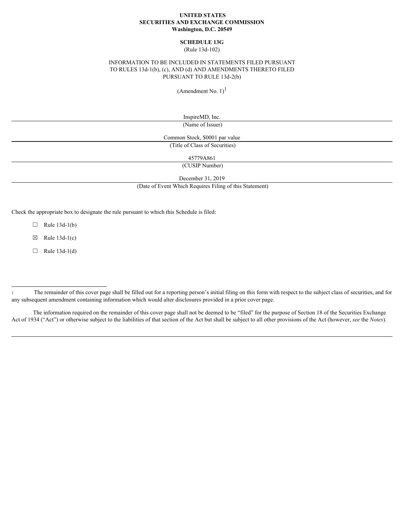## **UNITED STATES SECURITIES AND EXCHANGE COMMISSION Washington, D.C. 20549**

## **SCHEDULE 13G** (Rule 13d-102)

## INFORMATION TO BE INCLUDED IN STATEMENTS FILED PURSUANT TO RULES 13d-1(b), (c), AND (d) AND AMENDMENTS THERETO FILED PURSUANT TO RULE 13d-2(b)

(Amendment No.  $1$ )<sup>1</sup>

InspireMD, Inc. (Name of Issuer)

Common Stock, \$0001 par value (Title of Class of Securities)

45779A861

(CUSIP Number)

December 31, 2019

(Date of Event Which Requires Filing of this Statement)

Check the appropriate box to designate the rule pursuant to which this Schedule is filed:

 $\Box$  Rule 13d-1(b)

 $\boxtimes$  Rule 13d-1(c)

 $\Box$  Rule 13d-1(d)

The information required on the remainder of this cover page shall not be deemed to be "filed" for the purpose of Section 18 of the Securities Exchange Act of 1934 ("Act") or otherwise subject to the liabilities of that section of the Act but shall be subject to all other provisions of the Act (however, *see* the *Notes*).

<sup>1</sup> The remainder of this cover page shall be filled out for a reporting person's initial filing on this form with respect to the subject class of securities, and for any subsequent amendment containing information which would alter disclosures provided in a prior cover page.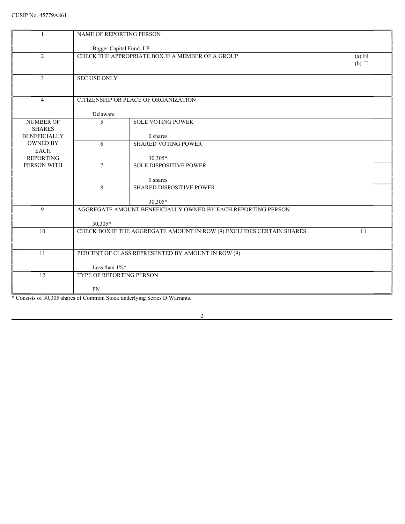|                                                          | NAME OF REPORTING PERSON |                                                                      |                        |
|----------------------------------------------------------|--------------------------|----------------------------------------------------------------------|------------------------|
|                                                          | Bigger Capital Fund, LP  |                                                                      |                        |
| 2                                                        |                          | CHECK THE APPROPRIATE BOX IF A MEMBER OF A GROUP                     | $(a) \boxtimes$<br>(b) |
| 3                                                        | SEC USE ONLY             |                                                                      |                        |
| $\overline{4}$                                           |                          | CITIZENSHIP OR PLACE OF ORGANIZATION                                 |                        |
|                                                          | Delaware                 |                                                                      |                        |
| <b>NUMBER OF</b><br><b>SHARES</b><br><b>BENEFICIALLY</b> | -5                       | <b>SOLE VOTING POWER</b><br>0 shares                                 |                        |
| OWNED BY<br>EACH                                         | 6                        | <b>SHARED VOTING POWER</b>                                           |                        |
| <b>REPORTING</b><br>PERSON WITH                          | $7\phantom{.0}$          | 30,305*<br><b>SOLE DISPOSITIVE POWER</b>                             |                        |
|                                                          | 8                        | 0 shares<br>SHARED DISPOSITIVE POWER                                 |                        |
|                                                          |                          | 30,305*                                                              |                        |
| 9                                                        |                          | AGGREGATE AMOUNT BENEFICIALLY OWNED BY EACH REPORTING PERSON         |                        |
|                                                          | 30,305*                  |                                                                      |                        |
| 10                                                       |                          | CHECK BOX IF THE AGGREGATE AMOUNT IN ROW (9) EXCLUDES CERTAIN SHARES | $\Box$                 |
| $\overline{11}$                                          |                          | PERCENT OF CLASS REPRESENTED BY AMOUNT IN ROW (9)                    |                        |
|                                                          |                          |                                                                      |                        |
|                                                          | Less than $1\%$ *        |                                                                      |                        |
| 12                                                       | TYPE OF REPORTING PERSON |                                                                      |                        |
|                                                          | PN                       |                                                                      |                        |

\* Consists of 30,305 shares of Common Stock underlying Series D Warrants.

 $\overline{2}$ 

<u> 1980 - Johann Barbara, martxa a</u>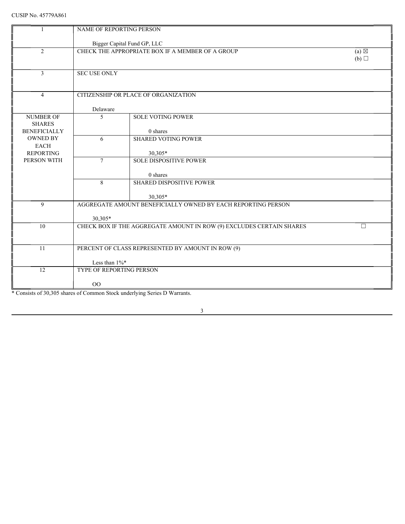|                                   | NAME OF REPORTING PERSON |                                                                      |                                   |
|-----------------------------------|--------------------------|----------------------------------------------------------------------|-----------------------------------|
|                                   |                          | Bigger Capital Fund GP, LLC                                          |                                   |
| 2                                 |                          | CHECK THE APPROPRIATE BOX IF A MEMBER OF A GROUP                     | $\overline{(a)} \boxtimes$<br>(b) |
| 3                                 | <b>SEC USE ONLY</b>      |                                                                      |                                   |
| $\overline{4}$                    |                          | CITIZENSHIP OR PLACE OF ORGANIZATION                                 |                                   |
|                                   | Delaware                 |                                                                      |                                   |
| <b>NUMBER OF</b><br><b>SHARES</b> | -5                       | <b>SOLE VOTING POWER</b>                                             |                                   |
| <b>BENEFICIALLY</b><br>OWNED BY   | 6                        | 0 shares<br><b>SHARED VOTING POWER</b>                               |                                   |
| <b>EACH</b>                       |                          |                                                                      |                                   |
| <b>REPORTING</b>                  |                          | 30,305*                                                              |                                   |
| PERSON WITH                       | $7\phantom{.0}$          | <b>SOLE DISPOSITIVE POWER</b>                                        |                                   |
|                                   |                          | 0 shares                                                             |                                   |
|                                   | 8                        | <b>SHARED DISPOSITIVE POWER</b>                                      |                                   |
|                                   |                          | 30,305*                                                              |                                   |
| 9                                 |                          | AGGREGATE AMOUNT BENEFICIALLY OWNED BY EACH REPORTING PERSON         |                                   |
|                                   | 30,305*                  |                                                                      |                                   |
| 10                                |                          | CHECK BOX IF THE AGGREGATE AMOUNT IN ROW (9) EXCLUDES CERTAIN SHARES | $\Box$                            |
| 11                                |                          | PERCENT OF CLASS REPRESENTED BY AMOUNT IN ROW (9)                    |                                   |
|                                   | Less than $1\%$ *        |                                                                      |                                   |
| 12                                | TYPE OF REPORTING PERSON |                                                                      |                                   |
|                                   | $00\,$                   |                                                                      |                                   |
|                                   |                          | $0.111$ $0.7$ $0.7$                                                  |                                   |

\* Consists of 30,305 shares of Common Stock underlying Series D Warrants.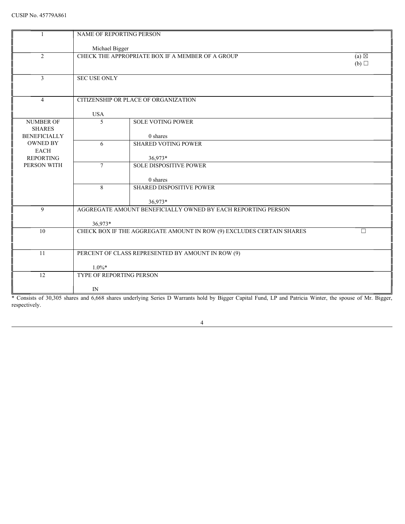|                     | NAME OF REPORTING PERSON                                                                                                                                 |                 |
|---------------------|----------------------------------------------------------------------------------------------------------------------------------------------------------|-----------------|
|                     | Michael Bigger                                                                                                                                           |                 |
| 2                   | CHECK THE APPROPRIATE BOX IF A MEMBER OF A GROUP                                                                                                         | (a) $\boxtimes$ |
|                     |                                                                                                                                                          | (b)             |
| $\overline{3}$      | <b>SEC USE ONLY</b>                                                                                                                                      |                 |
|                     |                                                                                                                                                          |                 |
| $\overline{4}$      | CITIZENSHIP OR PLACE OF ORGANIZATION                                                                                                                     |                 |
|                     |                                                                                                                                                          |                 |
| NUMBER OF           | <b>USA</b><br>SOLE VOTING POWER<br>$5\overline{)}$                                                                                                       |                 |
| <b>SHARES</b>       |                                                                                                                                                          |                 |
| <b>BENEFICIALLY</b> | 0 shares                                                                                                                                                 |                 |
| OWNED BY<br>EACH    | <b>SHARED VOTING POWER</b><br>6                                                                                                                          |                 |
| <b>REPORTING</b>    | 36,973*                                                                                                                                                  |                 |
| PERSON WITH         | <b>SOLE DISPOSITIVE POWER</b><br>$7\overline{ }$                                                                                                         |                 |
|                     | 0 shares                                                                                                                                                 |                 |
|                     | SHARED DISPOSITIVE POWER<br>8                                                                                                                            |                 |
|                     | 36,973*                                                                                                                                                  |                 |
| 9                   | AGGREGATE AMOUNT BENEFICIALLY OWNED BY EACH REPORTING PERSON                                                                                             |                 |
|                     | 36,973*                                                                                                                                                  |                 |
| 10                  | CHECK BOX IF THE AGGREGATE AMOUNT IN ROW (9) EXCLUDES CERTAIN SHARES                                                                                     | $\Box$          |
|                     |                                                                                                                                                          |                 |
| 11                  | PERCENT OF CLASS REPRESENTED BY AMOUNT IN ROW (9)                                                                                                        |                 |
|                     |                                                                                                                                                          |                 |
| 12                  | $1.0\%*$<br>TYPE OF REPORTING PERSON                                                                                                                     |                 |
|                     |                                                                                                                                                          |                 |
|                     | $\ensuremath{\text{IN}}$                                                                                                                                 |                 |
| respectively.       | * Consists of 30,305 shares and 6,668 shares underlying Series D Warrants hold by Bigger Capital Fund, LP and Patricia Winter, the spouse of Mr. Bigger, |                 |
|                     |                                                                                                                                                          |                 |
|                     | $\overline{4}$                                                                                                                                           |                 |
|                     |                                                                                                                                                          |                 |
|                     |                                                                                                                                                          |                 |
|                     |                                                                                                                                                          |                 |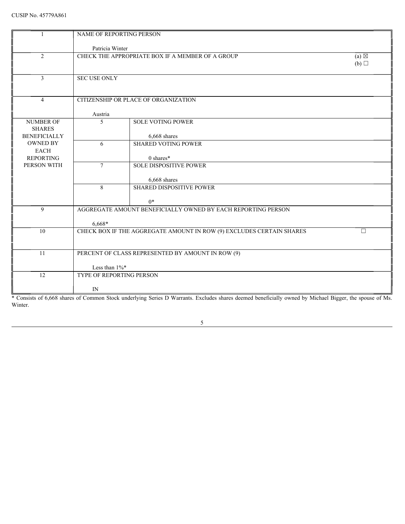|                                                          | NAME OF REPORTING PERSON |                                                                      |                        |
|----------------------------------------------------------|--------------------------|----------------------------------------------------------------------|------------------------|
|                                                          | Patricia Winter          |                                                                      |                        |
| 2                                                        |                          | CHECK THE APPROPRIATE BOX IF A MEMBER OF A GROUP                     | $(a) \boxtimes$<br>(b) |
| 3                                                        | <b>SEC USE ONLY</b>      |                                                                      |                        |
| $\overline{4}$                                           |                          | CITIZENSHIP OR PLACE OF ORGANIZATION                                 |                        |
| <b>NUMBER OF</b><br><b>SHARES</b><br><b>BENEFICIALLY</b> | Austria<br>$\sim$        | <b>SOLE VOTING POWER</b><br>6,668 shares                             |                        |
| OWNED BY<br>EACH<br><b>REPORTING</b>                     | 6                        | <b>SHARED VOTING POWER</b><br>0 shares*                              |                        |
| PERSON WITH                                              | $7\overline{ }$          | <b>SOLE DISPOSITIVE POWER</b><br>6,668 shares                        |                        |
|                                                          | 8                        | SHARED DISPOSITIVE POWER<br>$0^*$                                    |                        |
| 9                                                        | $6,668*$                 | AGGREGATE AMOUNT BENEFICIALLY OWNED BY EACH REPORTING PERSON         |                        |
| 10                                                       |                          | CHECK BOX IF THE AGGREGATE AMOUNT IN ROW (9) EXCLUDES CERTAIN SHARES | П.                     |
| 11                                                       | Less than 1%*            | PERCENT OF CLASS REPRESENTED BY AMOUNT IN ROW (9)                    |                        |
| 12                                                       | TYPE OF REPORTING PERSON |                                                                      |                        |
|                                                          | $\ensuremath{\text{IN}}$ |                                                                      |                        |

\* Consists of 6,668 shares of Common Stock underlying Series D Warrants. Excludes shares deemed beneficially owned by Michael Bigger, the spouse of Ms. Winter.

 $\sim$  5

<u> 1980 - Jan James Barnett, fransk politik (d. 1980)</u>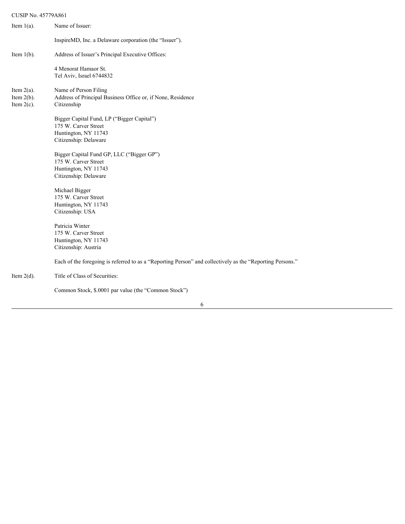# CUSIP No. 45779A861

| Item $1(a)$ .                                   | Name of Issuer:                                                                                                     |
|-------------------------------------------------|---------------------------------------------------------------------------------------------------------------------|
|                                                 | InspireMD, Inc. a Delaware corporation (the "Issuer").                                                              |
| Item $1(b)$ .                                   | Address of Issuer's Principal Executive Offices:                                                                    |
|                                                 | 4 Menorat Hamaor St.<br>Tel Aviv, Israel 6744832                                                                    |
| Item $2(a)$ .<br>Item $2(b)$ .<br>Item $2(c)$ . | Name of Person Filing<br>Address of Principal Business Office or, if None, Residence<br>Citizenship                 |
|                                                 | Bigger Capital Fund, LP ("Bigger Capital")<br>175 W. Carver Street<br>Huntington, NY 11743<br>Citizenship: Delaware |
|                                                 | Bigger Capital Fund GP, LLC ("Bigger GP")<br>175 W. Carver Street<br>Huntington, NY 11743<br>Citizenship: Delaware  |
|                                                 | Michael Bigger<br>175 W. Carver Street<br>Huntington, NY 11743<br>Citizenship: USA                                  |
|                                                 | Patricia Winter<br>175 W. Carver Street<br>Huntington, NY 11743<br>Citizenship: Austria                             |
|                                                 | Each of the foregoing is referred to as a "Reporting Person" and collectively as the "Reporting Persons."           |
| Item $2(d)$ .                                   | Title of Class of Securities:                                                                                       |
|                                                 |                                                                                                                     |

Common Stock, \$.0001 par value (the "Common Stock")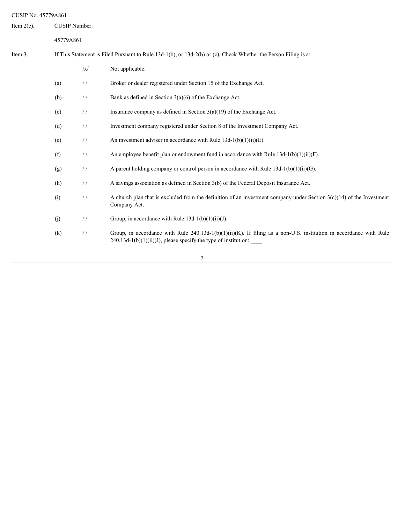| CUSIP No. 45779A861 |           |               |                                                                                                                                                                                             |
|---------------------|-----------|---------------|---------------------------------------------------------------------------------------------------------------------------------------------------------------------------------------------|
| Item $2(e)$ .       |           | CUSIP Number: |                                                                                                                                                                                             |
|                     | 45779A861 |               |                                                                                                                                                                                             |
| Item 3.             |           |               | If This Statement is Filed Pursuant to Rule 13d-1(b), or 13d-2(b) or (c), Check Whether the Person Filing is a:                                                                             |
|                     |           | $\sqrt{x}$    | Not applicable.                                                                                                                                                                             |
|                     | (a)       | $\frac{1}{2}$ | Broker or dealer registered under Section 15 of the Exchange Act.                                                                                                                           |
|                     | (b)       | $\frac{1}{2}$ | Bank as defined in Section $3(a)(6)$ of the Exchange Act.                                                                                                                                   |
|                     | (c)       | $\frac{1}{2}$ | Insurance company as defined in Section $3(a)(19)$ of the Exchange Act.                                                                                                                     |
|                     | (d)       | $\frac{1}{2}$ | Investment company registered under Section 8 of the Investment Company Act.                                                                                                                |
|                     | (e)       | $\frac{1}{2}$ | An investment adviser in accordance with Rule $13d-1(b)(1)(ii)(E)$ .                                                                                                                        |
|                     | (f)       | $\frac{1}{2}$ | An employee benefit plan or endowment fund in accordance with Rule $13d-1(b)(1)(ii)(F)$ .                                                                                                   |
|                     | (g)       | $\frac{1}{2}$ | A parent holding company or control person in accordance with Rule $13d-1(b)(1)(ii)(G)$ .                                                                                                   |
|                     | (h)       | $\frac{1}{2}$ | A savings association as defined in Section 3(b) of the Federal Deposit Insurance Act.                                                                                                      |
|                     | (i)       | $\frac{1}{2}$ | A church plan that is excluded from the definition of an investment company under Section $3(c)(14)$ of the Investment<br>Company Act.                                                      |
|                     | (j)       | $\frac{1}{2}$ | Group, in accordance with Rule $13d-1(b)(1)(ii)(J)$ .                                                                                                                                       |
|                     | (k)       | $\frac{1}{2}$ | Group, in accordance with Rule $240.13d-1(b)(1)(ii)(K)$ . If filing as a non-U.S. institution in accordance with Rule<br>$240.13d-1(b)(1)(ii)(J)$ , please specify the type of institution: |
|                     |           |               | $\overline{7}$                                                                                                                                                                              |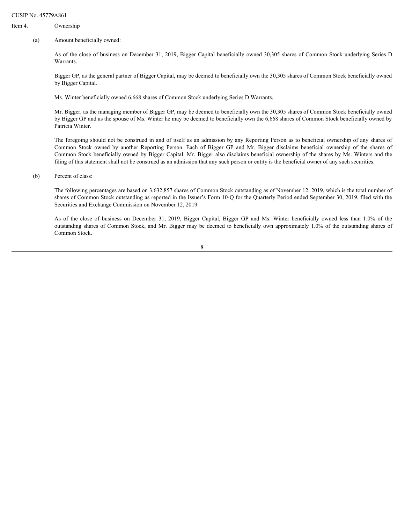#### CUSIP No. 45779A861

# Item 4. Ownership

#### (a) Amount beneficially owned:

As of the close of business on December 31, 2019, Bigger Capital beneficially owned 30,305 shares of Common Stock underlying Series D Warrants.

Bigger GP, as the general partner of Bigger Capital, may be deemed to beneficially own the 30,305 shares of Common Stock beneficially owned by Bigger Capital.

Ms. Winter beneficially owned 6,668 shares of Common Stock underlying Series D Warrants.

Mr. Bigger, as the managing member of Bigger GP, may be deemed to beneficially own the 30,305 shares of Common Stock beneficially owned by Bigger GP and as the spouse of Ms. Winter he may be deemed to beneficially own the 6,668 shares of Common Stock beneficially owned by Patricia Winter.

The foregoing should not be construed in and of itself as an admission by any Reporting Person as to beneficial ownership of any shares of A861<br>
Amount beneficially owned:<br>
Anount beneficially owned:<br>
As of the close of business on December 31, 2019, Bigger Capital beneficially owned 30,305 shares of Common Stock underlying Series D<br>
Warger GP, as the general Common Stock beneficially owned by Bigger Capital. Mr. Bigger also disclaims beneficial ownership of the shares by Ms. Winters and the filing of this statement shall not be construed as an admission that any such person or entity is the beneficial owner of any such securities. As of the close of business on December 31, 2019, Bigger Capital beneficially owned 30,305 shares of Common Stock underlying Series D As of the close of business on December 31, 2019, Bigger Capital, busined in breached by A861<br>
Ownership<br>
Are of the close of basiness on December 31, 2019, Bigger Capital beneficially owned 30,305 shares of Common Stock underlying Series D<br>
Mar ite lose of basiness on December 31, 2019, Bigger Capital benefic

#### (b) Percent of class:

The following percentages are based on 3,632,857 shares of Common Stock outstanding as of November 12, 2019, which is the total number of shares of Common Stock outstanding as reported in the Issuer's Form 10-Q for the Quarterly Period ended September 30, 2019, filed with the Securities and Exchange Commission on November 12, 2019.

Common Stock.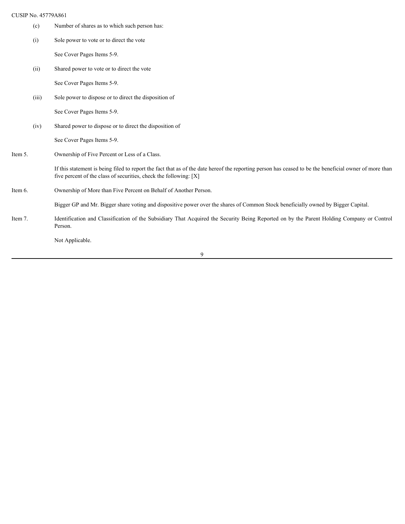|         | CUSIP No. 45779A861 |                                                                                                                                                                                                                             |
|---------|---------------------|-----------------------------------------------------------------------------------------------------------------------------------------------------------------------------------------------------------------------------|
|         | (c)                 | Number of shares as to which such person has:                                                                                                                                                                               |
|         | (i)                 | Sole power to vote or to direct the vote                                                                                                                                                                                    |
|         |                     | See Cover Pages Items 5-9.                                                                                                                                                                                                  |
|         | (ii)                | Shared power to vote or to direct the vote                                                                                                                                                                                  |
|         |                     | See Cover Pages Items 5-9.                                                                                                                                                                                                  |
|         | (iii)               | Sole power to dispose or to direct the disposition of                                                                                                                                                                       |
|         |                     | See Cover Pages Items 5-9.                                                                                                                                                                                                  |
|         | (iv)                | Shared power to dispose or to direct the disposition of                                                                                                                                                                     |
|         |                     | See Cover Pages Items 5-9.                                                                                                                                                                                                  |
| Item 5. |                     | Ownership of Five Percent or Less of a Class.                                                                                                                                                                               |
|         |                     | If this statement is being filed to report the fact that as of the date hereof the reporting person has ceased to be the beneficial owner of more than<br>five percent of the class of securities, check the following: [X] |
| Item 6. |                     | Ownership of More than Five Percent on Behalf of Another Person.                                                                                                                                                            |
|         |                     | Bigger GP and Mr. Bigger share voting and dispositive power over the shares of Common Stock beneficially owned by Bigger Capital.                                                                                           |
| Item 7. |                     | Identification and Classification of the Subsidiary That Acquired the Security Being Reported on by the Parent Holding Company or Control<br>Person.                                                                        |
|         |                     | Not Applicable.                                                                                                                                                                                                             |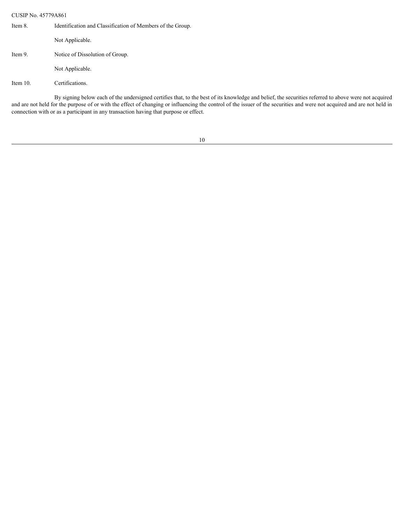CUSIP No. 45779A861

| Item 8.     | Identification and Classification of Members of the Group.                                                                                                                                                                                                                                                                      |  |  |
|-------------|---------------------------------------------------------------------------------------------------------------------------------------------------------------------------------------------------------------------------------------------------------------------------------------------------------------------------------|--|--|
|             | Not Applicable.                                                                                                                                                                                                                                                                                                                 |  |  |
| Item 9.     | Notice of Dissolution of Group.                                                                                                                                                                                                                                                                                                 |  |  |
|             | Not Applicable.                                                                                                                                                                                                                                                                                                                 |  |  |
| Item $10$ . | Certifications.                                                                                                                                                                                                                                                                                                                 |  |  |
|             | By signing below each of the undersigned certifies that, to the best of its knowledge and belief, the securities referred to above were not acquired<br>and are not held for the purpose of or with the effect of changing or influencing the control of the issuer of the securities and were not acquired and are not held in |  |  |

10

connection with or as a participant in any transaction having that purpose or effect.